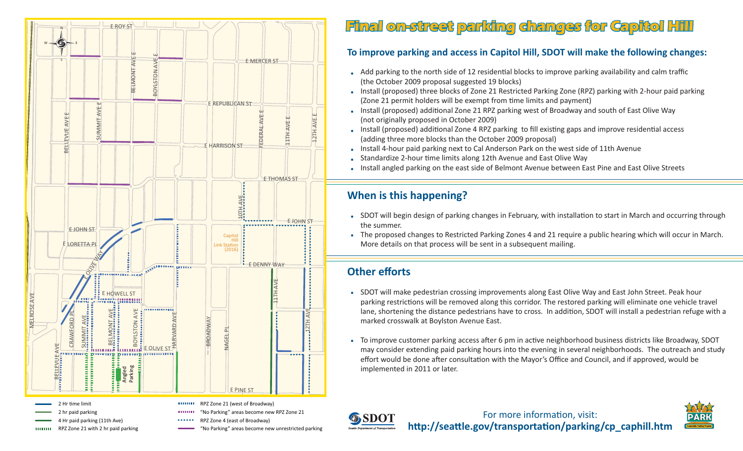

RPZ Zone 21 with 2 hr paid parking

10000000

# **Final on-street parking changes for Capitol Hill inal**

### **To improve parking and access in Capitol Hill, SDOT will make the following changes:**

- Add parking to the north side of 12 residential blocks to improve parking availability and calm traffic (the October 2009 proposal suggested 19 blocks)
- Install (proposed) three blocks of Zone 21 Restricted Parking Zone (RPZ) parking with 2-hour paid parking •(Zone 21 permit holders will be exempt from time limits and payment)
- $\bullet$  Install (proposed) additional Zone 21 RPZ parking west of Broadway and south of East Olive Way (not originally proposed in October 2009)
- Install (proposed) additional Zone 4 RPZ parking to fill existing gaps and improve residential access (adding three more blocks than the October 2009 proposal)
- Install 4-hour paid parking next to Cal Anderson Park on the west side of 11th Avenue
- Standardize 2-hour time limits along 12th Avenue and East Olive Way •
- Install angled parking on the east side of Belmont Avenue between East Pine and East Olive Streets •

## **When is this happening?**

- SDOT will begin design of parking changes in February, with installation to start in March and occurring through the summer.
- The proposed changes to Restricted Parking Zones 4 and 21 require a public hearing which will occur in March. •More details on that process will be sent in a subsequent mailing.

# **Other eff orts**

- SDOT will make pedestrian crossing improvements along East Olive Way and East John Street. Peak hour parking restrictions will be removed along this corridor. The restored parking will eliminate one vehicle travel lane, shortening the distance pedestrians have to cross. In addition, SDOT will install a pedestrian refuge with a marked crosswalk at Boylston Avenue East.
- To improve customer parking access after 6 pm in active neighborhood business districts like Broadway, SDOT may consider extending paid parking hours into the evening in several neighborhoods. The outreach and study effort would be done after consultation with the Mayor's Office and Council, and if approved, would be implemented in 2011 or later.



"No Parking" areas become new unrestricted parking